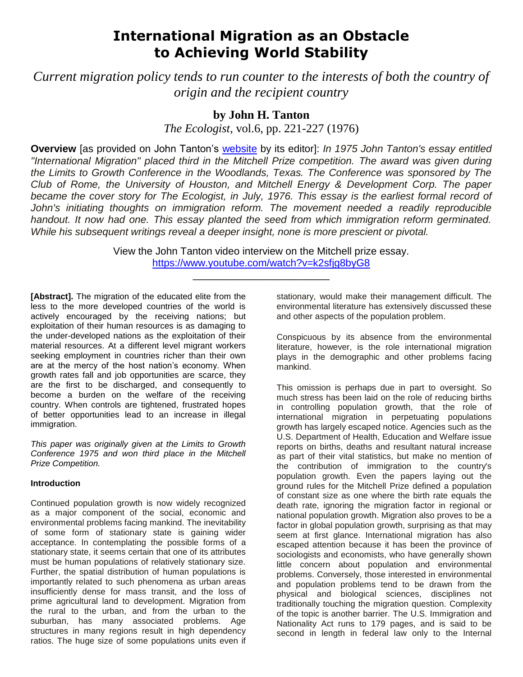# **International Migration as an Obstacle to Achieving World Stability**

*Current migration policy tends to run counter to the interests of both the country of origin and the recipient country*

## **by John H. Tanton**

*The Ecologist*, vol.6, pp. 221-227 (1976)

**Overview** [as provided on John Tanton's [website](http://www.johntanton.org/articles/mitchell_essay_immigration.html) by its editor]: *In 1975 John Tanton's essay entitled "International Migration" placed third in the Mitchell Prize competition. The award was given during the Limits to Growth Conference in the Woodlands, Texas. The Conference was sponsored by The Club of Rome, the University of Houston, and Mitchell Energy & Development Corp. The paper became the cover story for The Ecologist, in July, 1976. This essay is the earliest formal record of*  John's initiating thoughts on immigration reform. The movement needed a readily reproducible *handout. It now had one. This essay planted the seed from which immigration reform germinated. While his subsequent writings reveal a deeper insight, none is more prescient or pivotal.*

> View the [John Tanton video interview on the Mitchell prize essay.](http://www.johntanton.org/video/jt_video_2006_3.html) <https://www.youtube.com/watch?v=k2sfjg8byG8>

> > \_\_\_\_\_\_\_\_\_\_\_\_\_\_\_\_\_\_\_\_\_\_\_\_

**[Abstract].** The migration of the educated elite from the less to the more developed countries of the world is actively encouraged by the receiving nations; but exploitation of their human resources is as damaging to the under-developed nations as the exploitation of their material resources. At a different level migrant workers seeking employment in countries richer than their own are at the mercy of the host nation's economy. When growth rates fall and job opportunities are scarce, they are the first to be discharged, and consequently to become a burden on the welfare of the receiving country. When controls are tightened, frustrated hopes of better opportunities lead to an increase in illegal immigration.

*This paper was originally given at the Limits to Growth Conference 1975 and won third place in the Mitchell Prize Competition.*

### **Introduction**

Continued population growth is now widely recognized as a major component of the social, economic and environmental problems facing mankind. The inevitability of some form of stationary state is gaining wider acceptance. In contemplating the possible forms of a stationary state, it seems certain that one of its attributes must be human populations of relatively stationary size. Further, the spatial distribution of human populations is importantly related to such phenomena as urban areas insufficiently dense for mass transit, and the loss of prime agricultural land to development. Migration from the rural to the urban, and from the urban to the suburban, has many associated problems. Age structures in many regions result in high dependency ratios. The huge size of some populations units even if

stationary, would make their management difficult. The environmental literature has extensively discussed these and other aspects of the population problem.

Conspicuous by its absence from the environmental literature, however, is the role international migration plays in the demographic and other problems facing mankind.

This omission is perhaps due in part to oversight. So much stress has been laid on the role of reducing births in controlling population growth, that the role of international migration in perpetuating populations growth has largely escaped notice. Agencies such as the U.S. Department of Health, Education and Welfare issue reports on births, deaths and resultant natural increase as part of their vital statistics, but make no mention of the contribution of immigration to the country's population growth. Even the papers laying out the ground rules for the Mitchell Prize defined a population of constant size as one where the birth rate equals the death rate, ignoring the migration factor in regional or national population growth. Migration also proves to be a factor in global population growth, surprising as that may seem at first glance. International migration has also escaped attention because it has been the province of sociologists and economists, who have generally shown little concern about population and environmental problems. Conversely, those interested in environmental and population problems tend to be drawn from the physical and biological sciences, disciplines not traditionally touching the migration question. Complexity of the topic is another barrier. The U.S. Immigration and Nationality Act runs to 179 pages, and is said to be second in length in federal law only to the Internal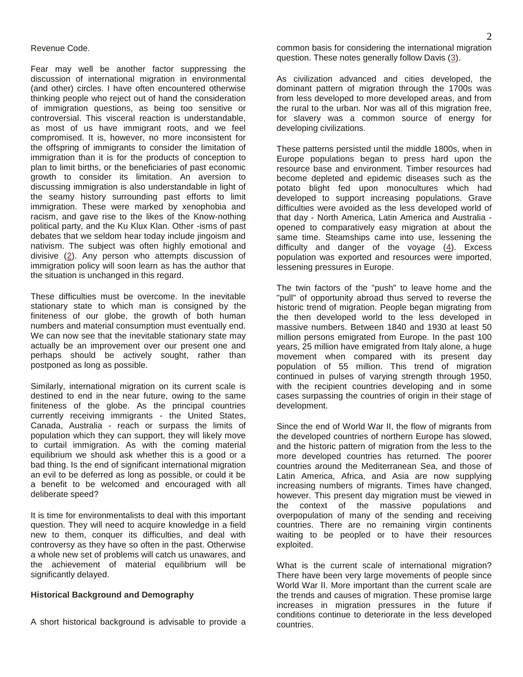#### Revenue Code.

Fear may well be another factor suppressing the discussion of international migration in environmental (and other) circles. I have often encountered otherwise thinking people who reject out of hand the consideration of immigration questions, as being too sensitive or controversial. This visceral reaction is understandable, as most of us have immigrant roots, and we feel compromised. It is, however, no more inconsistent for the offspring of immigrants to consider the limitation of immigration than it is for the products of conception to plan to limit births, or the beneficiaries of past economic growth to consider its limitation. An aversion to discussing immigration is also understandable in light of the seamy history surrounding past efforts to limit immigration. These were marked by xenophobia and racism, and gave rise to the likes of the Know-nothing political party, and the Ku Klux Klan. Other -isms of past debates that we seldom hear today include jingoism and nativism. The subject was often highly emotional and divisive (2). Any person who attempts discussion of immigration policy will soon learn as has the author that the situation is unchanged in this regard.

These difficulties must be overcome. In the inevitable stationary state to which man is consigned by the finiteness of our globe, the growth of both human numbers and material consumption must eventually end. We can now see that the inevitable stationary state may actually be an improvement over our present one and perhaps should be actively sought, rather than postponed as long as possible.

Similarly, international migration on its current scale is destined to end in the near future, owing to the same finiteness of the globe. As the principal countries currently receiving immigrants - the United States, Canada, Australia - reach or surpass the limits of population which they can support, they will likely move to curtail immigration. As with the coming material equilibrium we should ask whether this is a good or a bad thing. Is the end of significant international migration an evil to be deferred as long as possible, or could it be a benefit to be welcomed and encouraged with all deliberate speed?

It is time for environmentalists to deal with this important question. They will need to acquire knowledge in a field new to them, conquer its difficulties, and deal with controversy as they have so often in the past. Otherwise a whole new set of problems will catch us unawares, and the achievement of material equilibrium will be significantly delayed.

#### **Historical Background and Demography**

A short historical background is advisable to provide a

common basis for considering the international migration question. These notes generally follow Davis (3).

As civilization advanced and cities developed, the dominant pattern of migration through the 1700s was from less developed to more developed areas, and from the rural to the urban. Nor was all of this migration free, for slavery was a common source of energy for developing civilizations.

These patterns persisted until the middle 1800s, when in Europe populations began to press hard upon the resource base and environment. Timber resources had become depleted and epidemic diseases such as the potato blight fed upon monocultures which had developed to support increasing populations. Grave difficulties were avoided as the less developed world of that day - North America, Latin America and Australia opened to comparatively easy migration at about the same time. Steamships came into use, lessening the difficulty and danger of the voyage  $(4)$ . Excess population was exported and resources were imported, lessening pressures in Europe.

The twin factors of the "push" to leave home and the "pull" of opportunity abroad thus served to reverse the historic trend of migration. People began migrating from the then developed world to the less developed in massive numbers. Between 1840 and 1930 at least 50 million persons emigrated from Europe. In the past 100 years, 25 million have emigrated from Italy alone, a huge movement when compared with its present day population of 55 million. This trend of migration continued in pulses of varying strength through 1950, with the recipient countries developing and in some cases surpassing the countries of origin in their stage of development.

Since the end of World War II, the flow of migrants from the developed countries of northern Europe has slowed, and the historic pattern of migration from the less to the more developed countries has returned. The poorer countries around the Mediterranean Sea, and those of Latin America, Africa, and Asia are now supplying increasing numbers of migrants. Times have changed, however. This present day migration must be viewed in the context of the massive populations and overpopulation of many of the sending and receiving countries. There are no remaining virgin continents waiting to be peopled or to have their resources exploited.

What is the current scale of international migration? There have been very large movements of people since World War II. More important than the current scale are the trends and causes of migration. These promise large increases in migration pressures in the future if conditions continue to deteriorate in the less developed countries.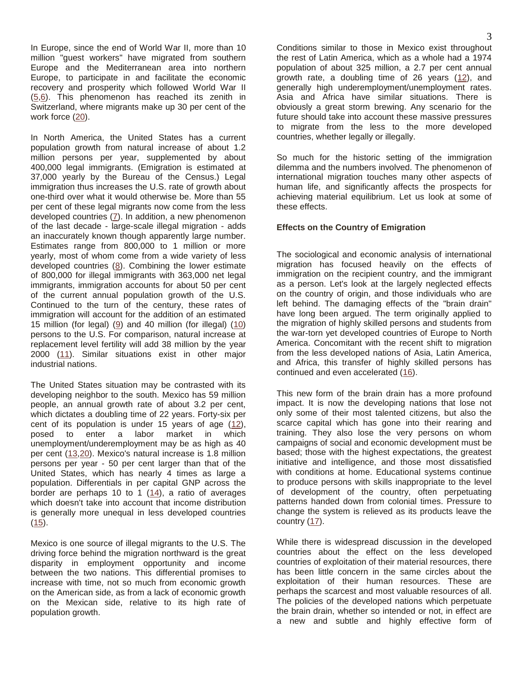In Europe, since the end of World War II, more than 10 million "guest workers" have migrated from southern Europe and the Mediterranean area into northern Europe, to participate in and facilitate the economic recovery and prosperity which followed World War II (5,6). This phenomenon has reached its zenith in Switzerland, where migrants make up 30 per cent of the work force (20).

In North America, the United States has a current population growth from natural increase of about 1.2 million persons per year, supplemented by about 400,000 legal immigrants. (Emigration is estimated at 37,000 yearly by the Bureau of the Census.) Legal immigration thus increases the U.S. rate of growth about one-third over what it would otherwise be. More than 55 per cent of these legal migrants now come from the less developed countries  $(7)$ . In addition, a new phenomenon of the last decade - large-scale illegal migration - adds an inaccurately known though apparently large number. Estimates range from 800,000 to 1 million or more yearly, most of whom come from a wide variety of less developed countries (8). Combining the lower estimate of 800,000 for illegal immigrants with 363,000 net legal immigrants, immigration accounts for about 50 per cent of the current annual population growth of the U.S. Continued to the turn of the century, these rates of immigration will account for the addition of an estimated 15 million (for legal) (9) and 40 million (for illegal) (10) persons to the U.S. For comparison, natural increase at replacement level fertility will add 38 million by the year 2000 (11). Similar situations exist in other major industrial nations.

The United States situation may be contrasted with its developing neighbor to the south. Mexico has 59 million people, an annual growth rate of about 3.2 per cent, which dictates a doubling time of 22 years. Forty-six per cent of its population is under 15 years of age (12), posed to enter a labor market in which unemployment/underemployment may be as high as 40 per cent (13,20). Mexico's natural increase is 1.8 million persons per year - 50 per cent larger than that of the United States, which has nearly 4 times as large a population. Differentials in per capital GNP across the border are perhaps 10 to 1  $(14)$ , a ratio of averages which doesn't take into account that income distribution is generally more unequal in less developed countries (15).

Mexico is one source of illegal migrants to the U.S. The driving force behind the migration northward is the great disparity in employment opportunity and income between the two nations. This differential promises to increase with time, not so much from economic growth on the American side, as from a lack of economic growth on the Mexican side, relative to its high rate of population growth.

Conditions similar to those in Mexico exist throughout the rest of Latin America, which as a whole had a 1974 population of about 325 million, a 2.7 per cent annual growth rate, a doubling time of 26 years (12), and generally high underemployment/unemployment rates. Asia and Africa have similar situations. There is obviously a great storm brewing. Any scenario for the future should take into account these massive pressures to migrate from the less to the more developed countries, whether legally or illegally.

So much for the historic setting of the immigration dilemma and the numbers involved. The phenomenon of international migration touches many other aspects of human life, and significantly affects the prospects for achieving material equilibrium. Let us look at some of these effects.

### **Effects on the Country of Emigration**

The sociological and economic analysis of international migration has focused heavily on the effects of immigration on the recipient country, and the immigrant as a person. Let's look at the largely neglected effects on the country of origin, and those individuals who are left behind. The damaging effects of the "brain drain" have long been argued. The term originally applied to the migration of highly skilled persons and students from the war-torn yet developed countries of Europe to North America. Concomitant with the recent shift to migration from the less developed nations of Asia, Latin America, and Africa, this transfer of highly skilled persons has continued and even accelerated (16).

This new form of the brain drain has a more profound impact. It is now the developing nations that lose not only some of their most talented citizens, but also the scarce capital which has gone into their rearing and training. They also lose the very persons on whom campaigns of social and economic development must be based; those with the highest expectations, the greatest initiative and intelligence, and those most dissatisfied with conditions at home. Educational systems continue to produce persons with skills inappropriate to the level of development of the country, often perpetuating patterns handed down from colonial times. Pressure to change the system is relieved as its products leave the country (17).

While there is widespread discussion in the developed countries about the effect on the less developed countries of exploitation of their material resources, there has been little concern in the same circles about the exploitation of their human resources. These are perhaps the scarcest and most valuable resources of all. The policies of the developed nations which perpetuate the brain drain, whether so intended or not, in effect are a new and subtle and highly effective form of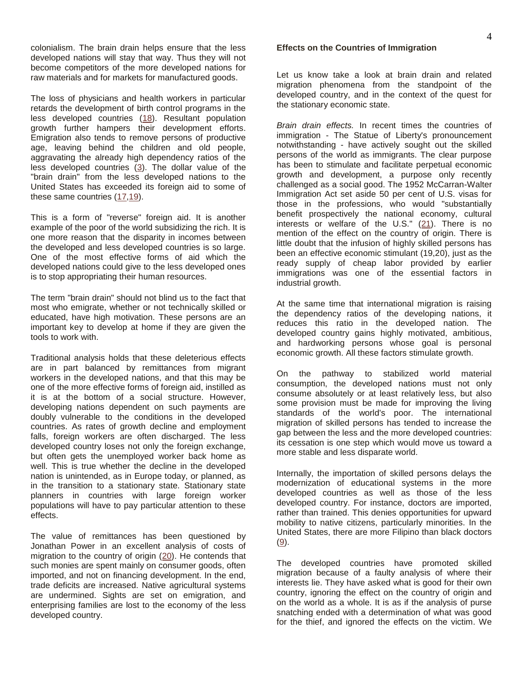colonialism. The brain drain helps ensure that the less developed nations will stay that way. Thus they will not become competitors of the more developed nations for raw materials and for markets for manufactured goods.

The loss of physicians and health workers in particular retards the development of birth control programs in the less developed countries (18). Resultant population growth further hampers their development efforts. Emigration also tends to remove persons of productive age, leaving behind the children and old people, aggravating the already high dependency ratios of the less developed countries (3). The dollar value of the "brain drain" from the less developed nations to the United States has exceeded its foreign aid to some of these same countries (17,19).

This is a form of "reverse" foreign aid. It is another example of the poor of the world subsidizing the rich. It is one more reason that the disparity in incomes between the developed and less developed countries is so large. One of the most effective forms of aid which the developed nations could give to the less developed ones is to stop appropriating their human resources.

The term "brain drain" should not blind us to the fact that most who emigrate, whether or not technically skilled or educated, have high motivation. These persons are an important key to develop at home if they are given the tools to work with.

Traditional analysis holds that these deleterious effects are in part balanced by remittances from migrant workers in the developed nations, and that this may be one of the more effective forms of foreign aid, instilled as it is at the bottom of a social structure. However, developing nations dependent on such payments are doubly vulnerable to the conditions in the developed countries. As rates of growth decline and employment falls, foreign workers are often discharged. The less developed country loses not only the foreign exchange, but often gets the unemployed worker back home as well. This is true whether the decline in the developed nation is unintended, as in Europe today, or planned, as in the transition to a stationary state. Stationary state planners in countries with large foreign worker populations will have to pay particular attention to these effects.

The value of remittances has been questioned by Jonathan Power in an excellent analysis of costs of migration to the country of origin (20). He contends that such monies are spent mainly on consumer goods, often imported, and not on financing development. In the end, trade deficits are increased. Native agricultural systems are undermined. Sights are set on emigration, and enterprising families are lost to the economy of the less developed country.

#### **Effects on the Countries of Immigration**

Let us know take a look at brain drain and related migration phenomena from the standpoint of the developed country, and in the context of the quest for the stationary economic state.

*Brain drain effects.* In recent times the countries of immigration - The Statue of Liberty's pronouncement notwithstanding - have actively sought out the skilled persons of the world as immigrants. The clear purpose has been to stimulate and facilitate perpetual economic growth and development, a purpose only recently challenged as a social good. The 1952 McCarran-Walter Immigration Act set aside 50 per cent of U.S. visas for those in the professions, who would "substantially benefit prospectively the national economy, cultural interests or welfare of the U.S." (21). There is no mention of the effect on the country of origin. There is little doubt that the infusion of highly skilled persons has been an effective economic stimulant (19,20), just as the ready supply of cheap labor provided by earlier immigrations was one of the essential factors in industrial growth.

At the same time that international migration is raising the dependency ratios of the developing nations, it reduces this ratio in the developed nation. The developed country gains highly motivated, ambitious, and hardworking persons whose goal is personal economic growth. All these factors stimulate growth.

On the pathway to stabilized world material consumption, the developed nations must not only consume absolutely or at least relatively less, but also some provision must be made for improving the living standards of the world's poor. The international migration of skilled persons has tended to increase the gap between the less and the more developed countries: its cessation is one step which would move us toward a more stable and less disparate world.

Internally, the importation of skilled persons delays the modernization of educational systems in the more developed countries as well as those of the less developed country. For instance, doctors are imported, rather than trained. This denies opportunities for upward mobility to native citizens, particularly minorities. In the United States, there are more Filipino than black doctors (9).

The developed countries have promoted skilled migration because of a faulty analysis of where their interests lie. They have asked what is good for their own country, ignoring the effect on the country of origin and on the world as a whole. It is as if the analysis of purse snatching ended with a determination of what was good for the thief, and ignored the effects on the victim. We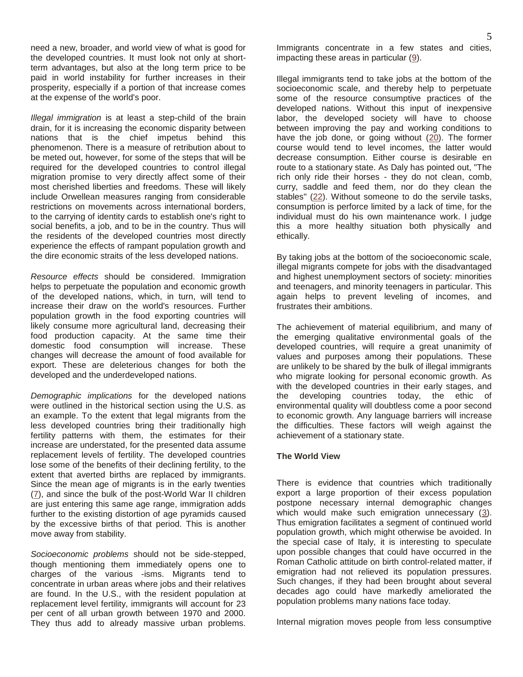need a new, broader, and world view of what is good for the developed countries. It must look not only at shortterm advantages, but also at the long term price to be paid in world instability for further increases in their prosperity, especially if a portion of that increase comes at the expense of the world's poor.

*Illegal immigration* is at least a step-child of the brain drain, for it is increasing the economic disparity between nations that is the chief impetus behind this phenomenon. There is a measure of retribution about to be meted out, however, for some of the steps that will be required for the developed countries to control illegal migration promise to very directly affect some of their most cherished liberties and freedoms. These will likely include Orwellean measures ranging from considerable restrictions on movements across international borders, to the carrying of identity cards to establish one's right to social benefits, a job, and to be in the country. Thus will the residents of the developed countries most directly experience the effects of rampant population growth and the dire economic straits of the less developed nations.

*Resource effects* should be considered. Immigration helps to perpetuate the population and economic growth of the developed nations, which, in turn, will tend to increase their draw on the world's resources. Further population growth in the food exporting countries will likely consume more agricultural land, decreasing their food production capacity. At the same time their domestic food consumption will increase. These changes will decrease the amount of food available for export. These are deleterious changes for both the developed and the underdeveloped nations.

*Demographic implications* for the developed nations were outlined in the historical section using the U.S. as an example. To the extent that legal migrants from the less developed countries bring their traditionally high fertility patterns with them, the estimates for their increase are understated, for the presented data assume replacement levels of fertility. The developed countries lose some of the benefits of their declining fertility, to the extent that averted births are replaced by immigrants. Since the mean age of migrants is in the early twenties (7), and since the bulk of the post-World War II children are just entering this same age range, immigration adds further to the existing distortion of age pyramids caused by the excessive births of that period. This is another move away from stability.

*Socioeconomic problems* should not be side-stepped, though mentioning them immediately opens one to charges of the various -isms. Migrants tend to concentrate in urban areas where jobs and their relatives are found. In the U.S., with the resident population at replacement level fertility, immigrants will account for 23 per cent of all urban growth between 1970 and 2000. They thus add to already massive urban problems.

Immigrants concentrate in a few states and cities, impacting these areas in particular (9).

Illegal immigrants tend to take jobs at the bottom of the socioeconomic scale, and thereby help to perpetuate some of the resource consumptive practices of the developed nations. Without this input of inexpensive labor, the developed society will have to choose between improving the pay and working conditions to have the job done, or going without (20). The former course would tend to level incomes, the latter would decrease consumption. Either course is desirable en route to a stationary state. As Daly has pointed out, "The rich only ride their horses - they do not clean, comb, curry, saddle and feed them, nor do they clean the stables" (22). Without someone to do the servile tasks, consumption is perforce limited by a lack of time, for the individual must do his own maintenance work. I judge this a more healthy situation both physically and ethically.

By taking jobs at the bottom of the socioeconomic scale, illegal migrants compete for jobs with the disadvantaged and highest unemployment sectors of society: minorities and teenagers, and minority teenagers in particular. This again helps to prevent leveling of incomes, and frustrates their ambitions.

The achievement of material equilibrium, and many of the emerging qualitative environmental goals of the developed countries, will require a great unanimity of values and purposes among their populations. These are unlikely to be shared by the bulk of illegal immigrants who migrate looking for personal economic growth. As with the developed countries in their early stages, and the developing countries today, the ethic of environmental quality will doubtless come a poor second to economic growth. Any language barriers will increase the difficulties. These factors will weigh against the achievement of a stationary state.

### **The World View**

There is evidence that countries which traditionally export a large proportion of their excess population postpone necessary internal demographic changes which would make such emigration unnecessary  $(3)$ . Thus emigration facilitates a segment of continued world population growth, which might otherwise be avoided. In the special case of Italy, it is interesting to speculate upon possible changes that could have occurred in the Roman Catholic attitude on birth control-related matter, if emigration had not relieved its population pressures. Such changes, if they had been brought about several decades ago could have markedly ameliorated the population problems many nations face today.

Internal migration moves people from less consumptive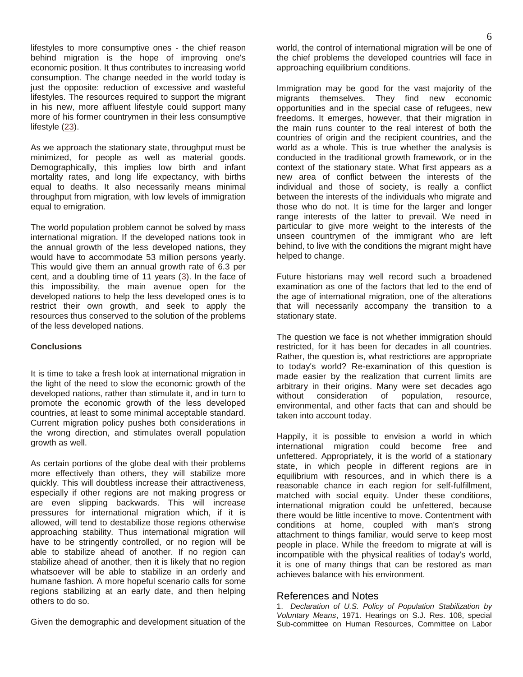lifestyles to more consumptive ones - the chief reason behind migration is the hope of improving one's economic position. It thus contributes to increasing world consumption. The change needed in the world today is just the opposite: reduction of excessive and wasteful lifestyles. The resources required to support the migrant in his new, more affluent lifestyle could support many more of his former countrymen in their less consumptive lifestyle (23).

As we approach the stationary state, throughput must be minimized, for people as well as material goods. Demographically, this implies low birth and infant mortality rates, and long life expectancy, with births equal to deaths. It also necessarily means minimal throughput from migration, with low levels of immigration equal to emigration.

The world population problem cannot be solved by mass international migration. If the developed nations took in the annual growth of the less developed nations, they would have to accommodate 53 million persons yearly. This would give them an annual growth rate of 6.3 per cent, and a doubling time of 11 years  $(3)$ . In the face of this impossibility, the main avenue open for the developed nations to help the less developed ones is to restrict their own growth, and seek to apply the resources thus conserved to the solution of the problems of the less developed nations.

#### **Conclusions**

It is time to take a fresh look at international migration in the light of the need to slow the economic growth of the developed nations, rather than stimulate it, and in turn to promote the economic growth of the less developed countries, at least to some minimal acceptable standard. Current migration policy pushes both considerations in the wrong direction, and stimulates overall population growth as well.

As certain portions of the globe deal with their problems more effectively than others, they will stabilize more quickly. This will doubtless increase their attractiveness, especially if other regions are not making progress or are even slipping backwards. This will increase pressures for international migration which, if it is allowed, will tend to destabilize those regions otherwise approaching stability. Thus international migration will have to be stringently controlled, or no region will be able to stabilize ahead of another. If no region can stabilize ahead of another, then it is likely that no region whatsoever will be able to stabilize in an orderly and humane fashion. A more hopeful scenario calls for some regions stabilizing at an early date, and then helping others to do so.

Given the demographic and development situation of the

world, the control of international migration will be one of the chief problems the developed countries will face in approaching equilibrium conditions.

Immigration may be good for the vast majority of the migrants themselves. They find new economic opportunities and in the special case of refugees, new freedoms. It emerges, however, that their migration in the main runs counter to the real interest of both the countries of origin and the recipient countries, and the world as a whole. This is true whether the analysis is conducted in the traditional growth framework, or in the context of the stationary state. What first appears as a new area of conflict between the interests of the individual and those of society, is really a conflict between the interests of the individuals who migrate and those who do not. It is time for the larger and longer range interests of the latter to prevail. We need in particular to give more weight to the interests of the unseen countrymen of the immigrant who are left behind, to live with the conditions the migrant might have helped to change.

Future historians may well record such a broadened examination as one of the factors that led to the end of the age of international migration, one of the alterations that will necessarily accompany the transition to a stationary state.

The question we face is not whether immigration should restricted, for it has been for decades in all countries. Rather, the question is, what restrictions are appropriate to today's world? Re-examination of this question is made easier by the realization that current limits are arbitrary in their origins. Many were set decades ago without consideration of population, resource, environmental, and other facts that can and should be taken into account today.

Happily, it is possible to envision a world in which international migration could become free and unfettered. Appropriately, it is the world of a stationary state, in which people in different regions are in equilibrium with resources, and in which there is a reasonable chance in each region for self-fulfillment, matched with social equity. Under these conditions, international migration could be unfettered, because there would be little incentive to move. Contentment with conditions at home, coupled with man's strong attachment to things familiar, would serve to keep most people in place. While the freedom to migrate at will is incompatible with the physical realities of today's world, it is one of many things that can be restored as man achieves balance with his environment.

### References and Notes

1. *Declaration of U.S. Policy of Population Stabilization by Voluntary Means*, 1971. Hearings on S.J. Res. 108, special Sub-committee on Human Resources, Committee on Labor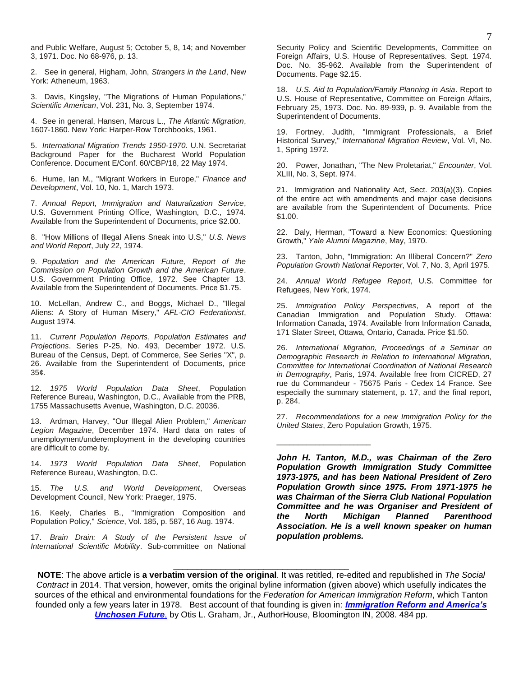and Public Welfare, August 5; October 5, 8, 14; and November 3, 1971. Doc. No 68-976, p. 13.

2. See in general, Higham, John, *Strangers in the Land*, New York: Atheneum, 1963.

3. Davis, Kingsley, "The Migrations of Human Populations," *Scientific American*, Vol. 231, No. 3, September 1974.

4. See in general, Hansen, Marcus L., *The Atlantic Migration*, 1607-1860. New York: Harper-Row Torchbooks, 1961.

5. *International Migration Trends 1950-1970*. U.N. Secretariat Background Paper for the Bucharest World Population Conference. Document E/Conf. 60/CBP/18, 22 May 1974.

6. Hume, Ian M., "Migrant Workers in Europe," *Finance and Development*, Vol. 10, No. 1, March 1973.

7. *Annual Report, Immigration and Naturalization Service*, U.S. Government Printing Office, Washington, D.C., 1974. Available from the Superintendent of Documents, price \$2.00.

8. "How Millions of Illegal Aliens Sneak into U.S," *U.S. News and World Report*, July 22, 1974.

9. *Population and the American Future, Report of the Commission on Population Growth and the American Future*. U.S. Government Printing Office, 1972. See Chapter 13. Available from the Superintendent of Documents. Price \$1.75.

10. McLellan, Andrew C., and Boggs, Michael D., "Illegal Aliens: A Story of Human Misery," *AFL-CIO Federationist*, August 1974.

11. *Current Population Reports*, *Population Estimates and Projections*. Series P-25, No. 493, December 1972. U.S. Bureau of the Census, Dept. of Commerce, See Series "X", p. 26. Available from the Superintendent of Documents, price 35¢.

12. *1975 World Population Data Sheet*, Population Reference Bureau, Washington, D.C., Available from the PRB, 1755 Massachusetts Avenue, Washington, D.C. 20036.

13. Ardman, Harvey, "Our Illegal Alien Problem," *American Legion Magazine*, December 1974. Hard data on rates of unemployment/underemployment in the developing countries are difficult to come by.

14. *1973 World Population Data Sheet*, Population Reference Bureau, Washington, D.C.

15. *The U.S. and World Development*, Overseas Development Council, New York: Praeger, 1975.

16. Keely, Charles B., "Immigration Composition and Population Policy," *Science*, Vol. 185, p. 587, 16 Aug. 1974.

17. *Brain Drain: A Study of the Persistent Issue of International Scientific Mobility*. Sub-committee on National

Security Policy and Scientific Developments, Committee on Foreign Affairs, U.S. House of Representatives. Sept. 1974. Doc. No. 35-962. Available from the Superintendent of Documents. Page \$2.15.

18. *U.S. Aid to Population/Family Planning in Asia*. Report to U.S. House of Representative, Committee on Foreign Affairs, February 25, 1973. Doc. No. 89-939, p. 9. Available from the Superintendent of Documents.

19. Fortney, Judith, "Immigrant Professionals, a Brief Historical Survey," *International Migration Review*, Vol. VI, No. 1, Spring 1972.

20. Power, Jonathan, "The New Proletariat," *Encounter*, Vol. XLIII, No. 3, Sept. l974.

21. Immigration and Nationality Act, Sect. 203(a)(3). Copies of the entire act with amendments and major case decisions are available from the Superintendent of Documents. Price \$1.00.

22. Daly, Herman, "Toward a New Economics: Questioning Growth," *Yale Alumni Magazine*, May, 1970.

23. Tanton, John, "Immigration: An Illiberal Concern?" *Zero Population Growth National Reporter*, Vol. 7, No. 3, April 1975.

24. *Annual World Refugee Report*, U.S. Committee for Refugees, New York, 1974.

25. *Immigration Policy Perspectives*, A report of the Canadian Immigration and Population Study. Ottawa: Information Canada, 1974. Available from Information Canada, 171 Slater Street, Ottawa, Ontario, Canada. Price \$1.50.

26. *International Migration, Proceedings of a Seminar on Demographic Research in Relation to International Migration, Committee for International Coordination of National Research in Demography*, Paris, 1974. Available free from CICRED, 27 rue du Commandeur - 75675 Paris - Cedex 14 France. See especially the summary statement, p. 17, and the final report, p. 284.

27. *Recommendations for a new Immigration Policy for the United States*, Zero Population Growth, 1975.

\_\_\_\_\_\_\_\_\_\_\_\_\_\_\_\_\_\_\_\_\_\_

*John H. Tanton, M.D., was Chairman of the Zero Population Growth Immigration Study Committee 1973-1975, and has been National President of Zero Population Growth since 1975. From 1971-1975 he was Chairman of the Sierra Club National Population Committee and he was Organiser and President of the North Michigan Planned Parenthood Association. He is a well known speaker on human population problems.………………………………………*

**NOTE**: The above article is **a verbatim version of the original**. It was retitled, re-edited and republished in *The Social Contract* in 2014. That version, however, omits the original byline information (given above) which usefully indicates the sources of the ethical and environmental foundations for the *Federation for American Immigration Reform*, which Tanton founded only a few years later in 1978. Best account of that founding is given in: *[Immigration Reform and America's](https://www.amazon.com/IMMIGRATION-REFORM-AMERICAS-UNCHOSEN-FUTURE/dp/1438909950)  [Unchosen Future](https://www.amazon.com/IMMIGRATION-REFORM-AMERICAS-UNCHOSEN-FUTURE/dp/1438909950)*, by Otis L. Graham, Jr., AuthorHouse, Bloomington IN, 2008. 484 pp.

\_\_\_\_\_\_\_\_\_\_\_\_\_\_\_\_\_\_\_\_\_\_\_\_\_\_\_\_\_\_\_\_\_\_\_\_\_